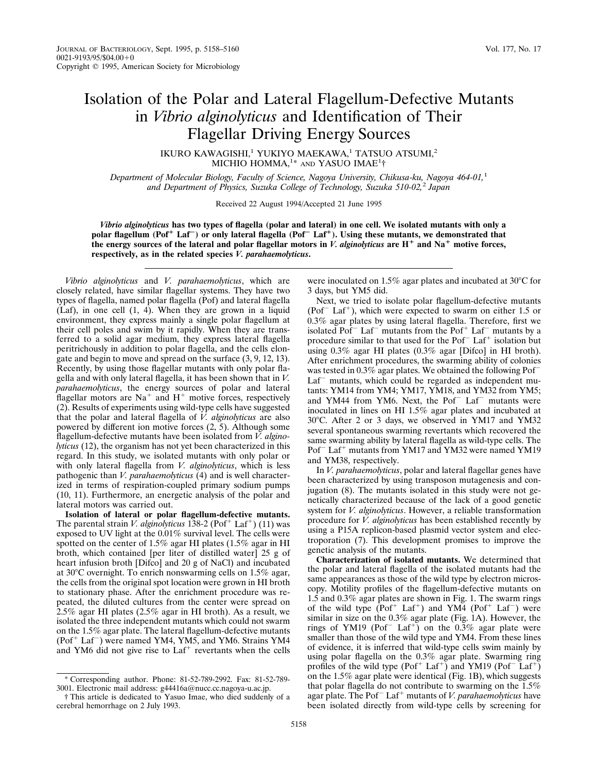## Isolation of the Polar and Lateral Flagellum-Defective Mutants in *Vibrio alginolyticus* and Identification of Their Flagellar Driving Energy Sources

IKURO KAWAGISHI,<sup>1</sup> YUKIYO MAEKAWA,<sup>1</sup> TATSUO ATSUMI,<sup>2</sup> MICHIO HOMMA,<sup>1\*</sup> and YASUO IMAE<sup>1</sup>†

*Department of Molecular Biology, Faculty of Science, Nagoya University, Chikusa-ku, Nagoya 464-01,*<sup>1</sup> *and Department of Physics, Suzuka College of Technology, Suzuka 510-02,*<sup>2</sup> *Japan*

Received 22 August 1994/Accepted 21 June 1995

*Vibrio alginolyticus* **has two types of flagella (polar and lateral) in one cell. We isolated mutants with only a polar flagellum (Pof<sup>+</sup> Laf<sup>-</sup>) or only lateral flagella (Pof<sup>-</sup> Laf<sup>+</sup>). Using these mutants, we demonstrated that** the energy sources of the lateral and polar flagellar motors in *V. alginolyticus* are  $H^+$  and  $Na^+$  motive forces, **respectively, as in the related species** *V. parahaemolyticus***.**

*Vibrio alginolyticus* and *V. parahaemolyticus*, which are closely related, have similar flagellar systems. They have two types of flagella, named polar flagella (Pof) and lateral flagella (Laf), in one cell (1, 4). When they are grown in a liquid environment, they express mainly a single polar flagellum at their cell poles and swim by it rapidly. When they are transferred to a solid agar medium, they express lateral flagella peritrichously in addition to polar flagella, and the cells elongate and begin to move and spread on the surface (3, 9, 12, 13). Recently, by using those flagellar mutants with only polar flagella and with only lateral flagella, it has been shown that in *V. parahaemolyticus*, the energy sources of polar and lateral flagellar motors are  $Na<sup>+</sup>$  and  $H<sup>+</sup>$  motive forces, respectively (2). Results of experiments using wild-type cells have suggested that the polar and lateral flagella of *V. alginolyticus* are also powered by different ion motive forces (2, 5). Although some flagellum-defective mutants have been isolated from *V. alginolyticus* (12), the organism has not yet been characterized in this regard. In this study, we isolated mutants with only polar or with only lateral flagella from *V. alginolyticus*, which is less pathogenic than *V. parahaemolyticus* (4) and is well characterized in terms of respiration-coupled primary sodium pumps (10, 11). Furthermore, an energetic analysis of the polar and lateral motors was carried out.

**Isolation of lateral or polar flagellum-defective mutants.** The parental strain *V. alginolyticus* 138-2 (Pof<sup>+</sup> Laf<sup>+</sup>) (11) was exposed to UV light at the 0.01% survival level. The cells were spotted on the center of 1.5% agar HI plates (1.5% agar in HI broth, which contained [per liter of distilled water] 25 g of heart infusion broth [Difco] and 20 g of NaCl) and incubated at  $30^{\circ}$ C overnight. To enrich nonswarming cells on  $1.5\%$  agar, the cells from the original spot location were grown in HI broth to stationary phase. After the enrichment procedure was repeated, the diluted cultures from the center were spread on 2.5% agar HI plates (2.5% agar in HI broth). As a result, we isolated the three independent mutants which could not swarm on the 1.5% agar plate. The lateral flagellum-defective mutants  $(Pof<sup>+</sup> Laf<sup>-</sup>)$  were named YM4, YM5, and YM6. Strains YM4 and YM6 did not give rise to  $\text{Laf}^+$  revertants when the cells

were inoculated on 1.5% agar plates and incubated at  $30^{\circ}$ C for 3 days, but YM5 did.

Next, we tried to isolate polar flagellum-defective mutants (Pof<sup>-</sup> Laf<sup>+</sup>), which were expected to swarm on either 1.5 or 0.3% agar plates by using lateral flagella. Therefore, first we isolated Pof<sup>-</sup> Laf<sup>-</sup> mutants from the Pof<sup>+</sup> Laf<sup>-</sup> mutants by a procedure similar to that used for the  $Pof$ <sup>-</sup> Laf<sup>+</sup> isolation but using 0.3% agar HI plates (0.3% agar [Difco] in HI broth). After enrichment procedures, the swarming ability of colonies was tested in  $0.3\%$  agar plates. We obtained the following Pof<sup> $-$ </sup>  $Laf$ <sup>-</sup> mutants, which could be regarded as independent mutants: YM14 from YM4; YM17, YM18, and YM32 from YM5; and YM44 from YM6. Next, the Pof<sup> $-$ </sup> Laf $-$  mutants were inoculated in lines on HI 1.5% agar plates and incubated at 30°C. After 2 or 3 days, we observed in YM17 and YM32 several spontaneous swarming revertants which recovered the same swarming ability by lateral flagella as wild-type cells. The Pof<sup>-</sup> Laf<sup>+</sup> mutants from YM17 and YM32 were named YM19 and YM38, respectively.

In *V. parahaemolyticus*, polar and lateral flagellar genes have been characterized by using transposon mutagenesis and conjugation (8). The mutants isolated in this study were not genetically characterized because of the lack of a good genetic system for *V. alginolyticus*. However, a reliable transformation procedure for *V. alginolyticus* has been established recently by using a P15A replicon-based plasmid vector system and electroporation (7). This development promises to improve the genetic analysis of the mutants.

**Characterization of isolated mutants.** We determined that the polar and lateral flagella of the isolated mutants had the same appearances as those of the wild type by electron microscopy. Motility profiles of the flagellum-defective mutants on 1.5 and 0.3% agar plates are shown in Fig. 1. The swarm rings of the wild type  $(Pof<sup>+</sup> Laf<sup>+</sup>)$  and YM4  $(Pof<sup>+</sup> Laf<sup>-</sup>)$  were similar in size on the 0.3% agar plate (Fig. 1A). However, the rings of YM19 (Pof<sup>-</sup> Laf<sup>+</sup>) on the 0.3% agar plate were smaller than those of the wild type and YM4. From these lines of evidence, it is inferred that wild-type cells swim mainly by using polar flagella on the 0.3% agar plate. Swarming ring profiles of the wild type  $(Pof^+ \text{Laf}^+)$  and YM19  $(Pof^- \text{Laf}^+)$ on the 1.5% agar plate were identical (Fig. 1B), which suggests that polar flagella do not contribute to swarming on the 1.5% agar plate. The Pof<sup>-</sup>Laf<sup>+</sup> mutants of *V. parahaemolyticus* have been isolated directly from wild-type cells by screening for

<sup>\*</sup> Corresponding author. Phone: 81-52-789-2992. Fax: 81-52-789- 3001. Electronic mail address: g44416a@nucc.cc.nagoya-u.ac.jp.

<sup>†</sup> This article is dedicated to Yasuo Imae, who died suddenly of a cerebral hemorrhage on 2 July 1993.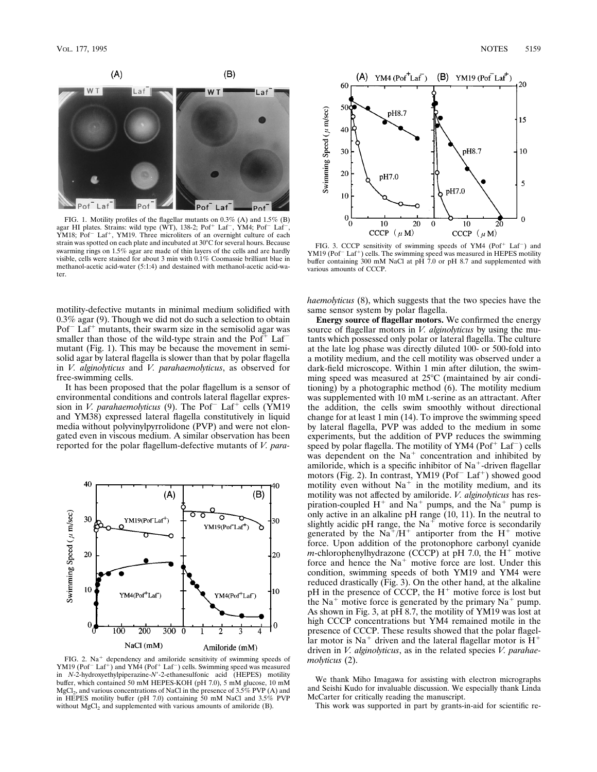

FIG. 1. Motility profiles of the flagellar mutants on 0.3% (A) and 1.5% (B) agar HI plates. Strains: wild type (WT), 138-2; Pof<sup>+</sup> Laf<sup>-</sup>, YM4; Pof<sup>-</sup> Laf<sup>-</sup>, YM18; Pof<sup>-</sup> Laf<sup>+</sup>, YM19. Three microliters of an overnight c strain was spotted on each plate and incubated at 30°C for several hours. Because swarming rings on 1.5% agar are made of thin layers of the cells and are hardly visible, cells were stained for about 3 min with 0.1% Coomassie brilliant blue in methanol-acetic acid-water (5:1:4) and destained with methanol-acetic acid-water.

motility-defective mutants in minimal medium solidified with 0.3% agar (9). Though we did not do such a selection to obtain  $Pof<sup>-</sup> Laf<sup>+</sup> mutants$ , their swarm size in the semisolid agar was smaller than those of the wild-type strain and the  $Pof<sup>+</sup>$  Laf<sup>-</sup> mutant (Fig. 1). This may be because the movement in semisolid agar by lateral flagella is slower than that by polar flagella in *V. alginolyticus* and *V. parahaemolyticus*, as observed for free-swimming cells.

It has been proposed that the polar flagellum is a sensor of environmental conditions and controls lateral flagellar expression in *V. parahaemolyticus* (9). The Pof<sup> $-$ </sup> Laf<sup> $+$ </sup> cells (YM19 and YM38) expressed lateral flagella constitutively in liquid media without polyvinylpyrrolidone (PVP) and were not elongated even in viscous medium. A similar observation has been reported for the polar flagellum-defective mutants of *V. para-*



FIG. 2.  $Na<sup>+</sup>$  dependency and amiloride sensitivity of swimming speeds of  $YM19 (Pof<sup>+</sup> Laf<sup>+</sup>)$  and  $YM4 (Pof<sup>+</sup> Laf<sup>-</sup>)$  cells. Swimming speed was measured in *N*-2-hydroxyethylpiperazine-*N*<sup>1</sup>-2-ethanesulfonic acid (HEPES) motility buffer, which contained 50 mM HEPES-KOH (pH 7.0), 5 mM glucose, 10 mM MgCl<sub>2</sub>, and various concentrations of NaCl in the presence of 3.5% PVP (A) and<br>in HEPES motility buffer (pH 7.0) containing 50 mM NaCl and 3.5% PVP without  $MgCl<sub>2</sub>$  and supplemented with various amounts of amiloride (B).



FIG. 3. CCCP sensitivity of swimming speeds of YM4 (Pof<sup>+</sup> Laf<sup>-</sup>) and YM19 (Pof<sup>-</sup>Laf<sup>+</sup>) cells. The swimming speed was measured in HEPES motility buffer containing 300 mM NaCl at pH 7.0 or pH 8.7 and supplemented with various amounts of CCCP.

*haemolyticus* (8), which suggests that the two species have the same sensor system by polar flagella.

**Energy source of flagellar motors.** We confirmed the energy source of flagellar motors in *V. alginolyticus* by using the mutants which possessed only polar or lateral flagella. The culture at the late log phase was directly diluted 100- or 500-fold into a motility medium, and the cell motility was observed under a dark-field microscope. Within 1 min after dilution, the swimming speed was measured at  $25^{\circ}$ C (maintained by air conditioning) by a photographic method (6). The motility medium was supplemented with 10 mM L-serine as an attractant. After the addition, the cells swim smoothly without directional change for at least 1 min (14). To improve the swimming speed by lateral flagella, PVP was added to the medium in some experiments, but the addition of PVP reduces the swimming speed by polar flagella. The motility of YM4 ( $Pof<sup>+</sup> Laf<sup>-</sup>$ ) cells was dependent on the  $Na<sup>+</sup>$  concentration and inhibited by amiloride, which is a specific inhibitor of  $Na<sup>+</sup>$ -driven flagellar motors (Fig. 2). In contrast, YM19 (Pof<sup>-</sup> Laf<sup>+</sup>) showed good motility even without  $Na<sup>+</sup>$  in the motility medium, and its motility was not affected by amiloride. *V. alginolyticus* has respiration-coupled  $H^+$  and  $Na^+$  pumps, and the  $Na^+$  pump is only active in an alkaline pH range (10, 11). In the neutral to slightly acidic pH range, the  $Na<sup>+</sup>$  motive force is secondarily generated by the  $Na^+/H^+$  antiporter from the  $H^+$  motive force. Upon addition of the protonophore carbonyl cyanide *m*-chlorophenylhydrazone (CCCP) at  $pH$  7.0, the  $H^+$  motive force and hence the  $Na<sup>+</sup>$  motive force are lost. Under this condition, swimming speeds of both YM19 and YM4 were reduced drastically (Fig. 3). On the other hand, at the alkaline pH in the presence of CCCP, the  $H^+$  motive force is lost but the  $Na<sup>+</sup>$  motive force is generated by the primary  $Na<sup>+</sup>$  pump. As shown in Fig. 3, at pH 8.7, the motility of YM19 was lost at high CCCP concentrations but YM4 remained motile in the presence of CCCP. These results showed that the polar flagellar motor is  $Na<sup>+</sup>$  driven and the lateral flagellar motor is  $H<sup>+</sup>$ driven in *V. alginolyticus*, as in the related species *V. parahaemolyticus* (2).

We thank Miho Imagawa for assisting with electron micrographs and Seishi Kudo for invaluable discussion. We especially thank Linda McCarter for critically reading the manuscript.

This work was supported in part by grants-in-aid for scientific re-